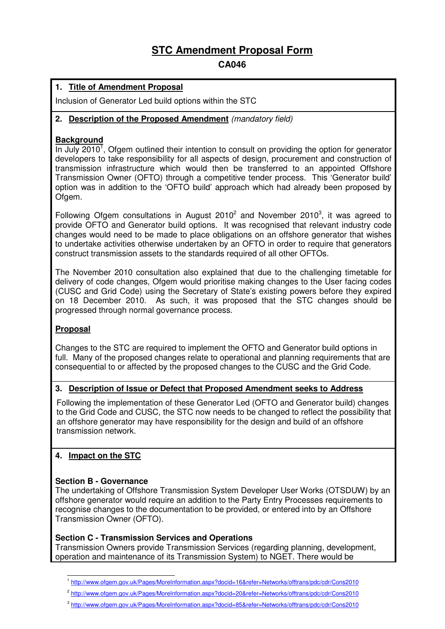# **STC Amendment Proposal Form**

# **CA046**

## **1. Title of Amendment Proposal**

Inclusion of Generator Led build options within the STC

## **2. Description of the Proposed Amendment** (mandatory field)

# **Background**

In July  $2010<sup>1</sup>$ , Ofgem outlined their intention to consult on providing the option for generator developers to take responsibility for all aspects of design, procurement and construction of transmission infrastructure which would then be transferred to an appointed Offshore Transmission Owner (OFTO) through a competitive tender process. This 'Generator build' option was in addition to the 'OFTO build' approach which had already been proposed by Ofgem.

Following Ofgem consultations in August 2010 $^2$  and November 2010 $^3$ , it was agreed to provide OFTO and Generator build options. It was recognised that relevant industry code changes would need to be made to place obligations on an offshore generator that wishes to undertake activities otherwise undertaken by an OFTO in order to require that generators construct transmission assets to the standards required of all other OFTOs.

The November 2010 consultation also explained that due to the challenging timetable for delivery of code changes, Ofgem would prioritise making changes to the User facing codes (CUSC and Grid Code) using the Secretary of State's existing powers before they expired on 18 December 2010. As such, it was proposed that the STC changes should be progressed through normal governance process.

#### **Proposal**

Changes to the STC are required to implement the OFTO and Generator build options in full. Many of the proposed changes relate to operational and planning requirements that are consequential to or affected by the proposed changes to the CUSC and the Grid Code.

#### **3. Description of Issue or Defect that Proposed Amendment seeks to Address**

Following the implementation of these Generator Led (OFTO and Generator build) changes to the Grid Code and CUSC, the STC now needs to be changed to reflect the possibility that an offshore generator may have responsibility for the design and build of an offshore transmission network.

# **4. Impact on the STC**

#### **Section B - Governance**

The undertaking of Offshore Transmission System Developer User Works (OTSDUW) by an offshore generator would require an addition to the Party Entry Processes requirements to recognise changes to the documentation to be provided, or entered into by an Offshore Transmission Owner (OFTO).

#### **Section C - Transmission Services and Operations**

Transmission Owners provide Transmission Services (regarding planning, development, operation and maintenance of its Transmission System) to NGET. There would be

 1 http://www.ofgem.gov.uk/Pages/MoreInformation.aspx?docid=16&refer=Networks/offtrans/pdc/cdr/Cons2010

<sup>&</sup>lt;sup>2</sup> http://www.ofgem.gov.uk/Pages/MoreInformation.aspx?docid=20&refer=Networks/offtrans/pdc/cdr/Cons2010

<sup>3</sup> http://www.ofgem.gov.uk/Pages/MoreInformation.aspx?docid=85&refer=Networks/offtrans/pdc/cdr/Cons2010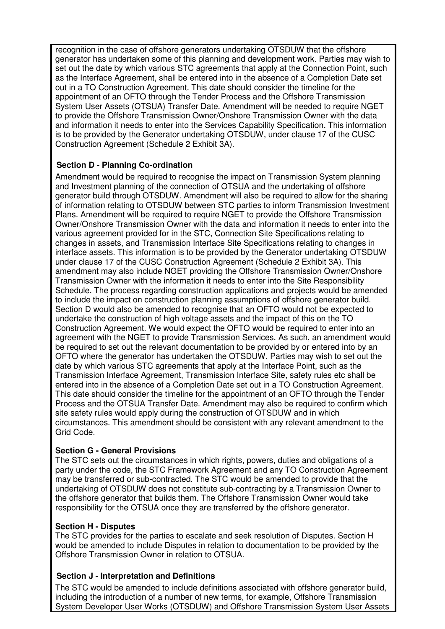recognition in the case of offshore generators undertaking OTSDUW that the offshore generator has undertaken some of this planning and development work. Parties may wish to set out the date by which various STC agreements that apply at the Connection Point, such as the Interface Agreement, shall be entered into in the absence of a Completion Date set out in a TO Construction Agreement. This date should consider the timeline for the appointment of an OFTO through the Tender Process and the Offshore Transmission System User Assets (OTSUA) Transfer Date. Amendment will be needed to require NGET to provide the Offshore Transmission Owner/Onshore Transmission Owner with the data and information it needs to enter into the Services Capability Specification. This information is to be provided by the Generator undertaking OTSDUW, under clause 17 of the CUSC Construction Agreement (Schedule 2 Exhibit 3A).

# **Section D - Planning Co-ordination**

Amendment would be required to recognise the impact on Transmission System planning and Investment planning of the connection of OTSUA and the undertaking of offshore generator build through OTSDUW. Amendment will also be required to allow for the sharing of information relating to OTSDUW between STC parties to inform Transmission Investment Plans. Amendment will be required to require NGET to provide the Offshore Transmission Owner/Onshore Transmission Owner with the data and information it needs to enter into the various agreement provided for in the STC, Connection Site Specifications relating to changes in assets, and Transmission Interface Site Specifications relating to changes in interface assets. This information is to be provided by the Generator undertaking OTSDUW under clause 17 of the CUSC Construction Agreement (Schedule 2 Exhibit 3A). This amendment may also include NGET providing the Offshore Transmission Owner/Onshore Transmission Owner with the information it needs to enter into the Site Responsibility Schedule. The process regarding construction applications and projects would be amended to include the impact on construction planning assumptions of offshore generator build. Section D would also be amended to recognise that an OFTO would not be expected to undertake the construction of high voltage assets and the impact of this on the TO Construction Agreement. We would expect the OFTO would be required to enter into an agreement with the NGET to provide Transmission Services. As such, an amendment would be required to set out the relevant documentation to be provided by or entered into by an OFTO where the generator has undertaken the OTSDUW. Parties may wish to set out the date by which various STC agreements that apply at the Interface Point, such as the Transmission Interface Agreement, Transmission Interface Site, safety rules etc shall be entered into in the absence of a Completion Date set out in a TO Construction Agreement. This date should consider the timeline for the appointment of an OFTO through the Tender Process and the OTSUA Transfer Date. Amendment may also be required to confirm which site safety rules would apply during the construction of OTSDUW and in which circumstances. This amendment should be consistent with any relevant amendment to the Grid Code.

#### **Section G - General Provisions**

The STC sets out the circumstances in which rights, powers, duties and obligations of a party under the code, the STC Framework Agreement and any TO Construction Agreement may be transferred or sub-contracted. The STC would be amended to provide that the undertaking of OTSDUW does not constitute sub-contracting by a Transmission Owner to the offshore generator that builds them. The Offshore Transmission Owner would take responsibility for the OTSUA once they are transferred by the offshore generator.

#### **Section H - Disputes**

The STC provides for the parties to escalate and seek resolution of Disputes. Section H would be amended to include Disputes in relation to documentation to be provided by the Offshore Transmission Owner in relation to OTSUA.

#### **Section J - Interpretation and Definitions**

The STC would be amended to include definitions associated with offshore generator build, including the introduction of a number of new terms, for example, Offshore Transmission System Developer User Works (OTSDUW) and Offshore Transmission System User Assets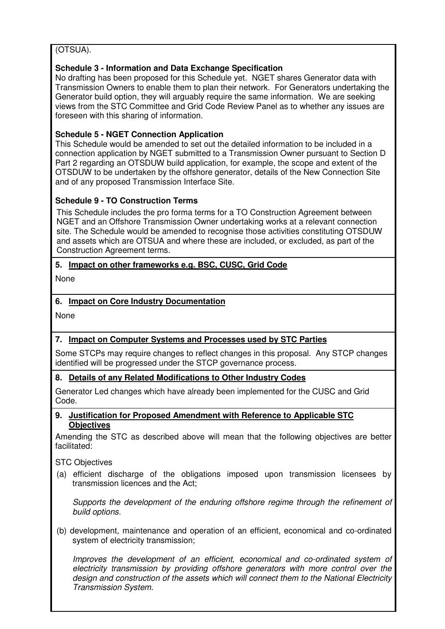# (OTSUA).

# **Schedule 3 - Information and Data Exchange Specification**

No drafting has been proposed for this Schedule yet. NGET shares Generator data with Transmission Owners to enable them to plan their network. For Generators undertaking the Generator build option, they will arguably require the same information. We are seeking views from the STC Committee and Grid Code Review Panel as to whether any issues are foreseen with this sharing of information.

## **Schedule 5 - NGET Connection Application**

This Schedule would be amended to set out the detailed information to be included in a connection application by NGET submitted to a Transmission Owner pursuant to Section D Part 2 regarding an OTSDUW build application, for example, the scope and extent of the OTSDUW to be undertaken by the offshore generator, details of the New Connection Site and of any proposed Transmission Interface Site.

#### **Schedule 9 - TO Construction Terms**

This Schedule includes the pro forma terms for a TO Construction Agreement between NGET and an Offshore Transmission Owner undertaking works at a relevant connection site. The Schedule would be amended to recognise those activities constituting OTSDUW and assets which are OTSUA and where these are included, or excluded, as part of the Construction Agreement terms.

# **5. Impact on other frameworks e.g. BSC, CUSC, Grid Code**

None

# **6. Impact on Core Industry Documentation**

None

# **7. Impact on Computer Systems and Processes used by STC Parties**

Some STCPs may require changes to reflect changes in this proposal. Any STCP changes identified will be progressed under the STCP governance process.

#### **8. Details of any Related Modifications to Other Industry Codes**

Generator Led changes which have already been implemented for the CUSC and Grid Code.

#### **9. Justification for Proposed Amendment with Reference to Applicable STC Objectives**

Amending the STC as described above will mean that the following objectives are better facilitated:

STC Objectives

(a) efficient discharge of the obligations imposed upon transmission licensees by transmission licences and the Act;

Supports the development of the enduring offshore regime through the refinement of build options.

(b) development, maintenance and operation of an efficient, economical and co-ordinated system of electricity transmission;

Improves the development of an efficient, economical and co-ordinated system of electricity transmission by providing offshore generators with more control over the design and construction of the assets which will connect them to the National Electricity Transmission System.